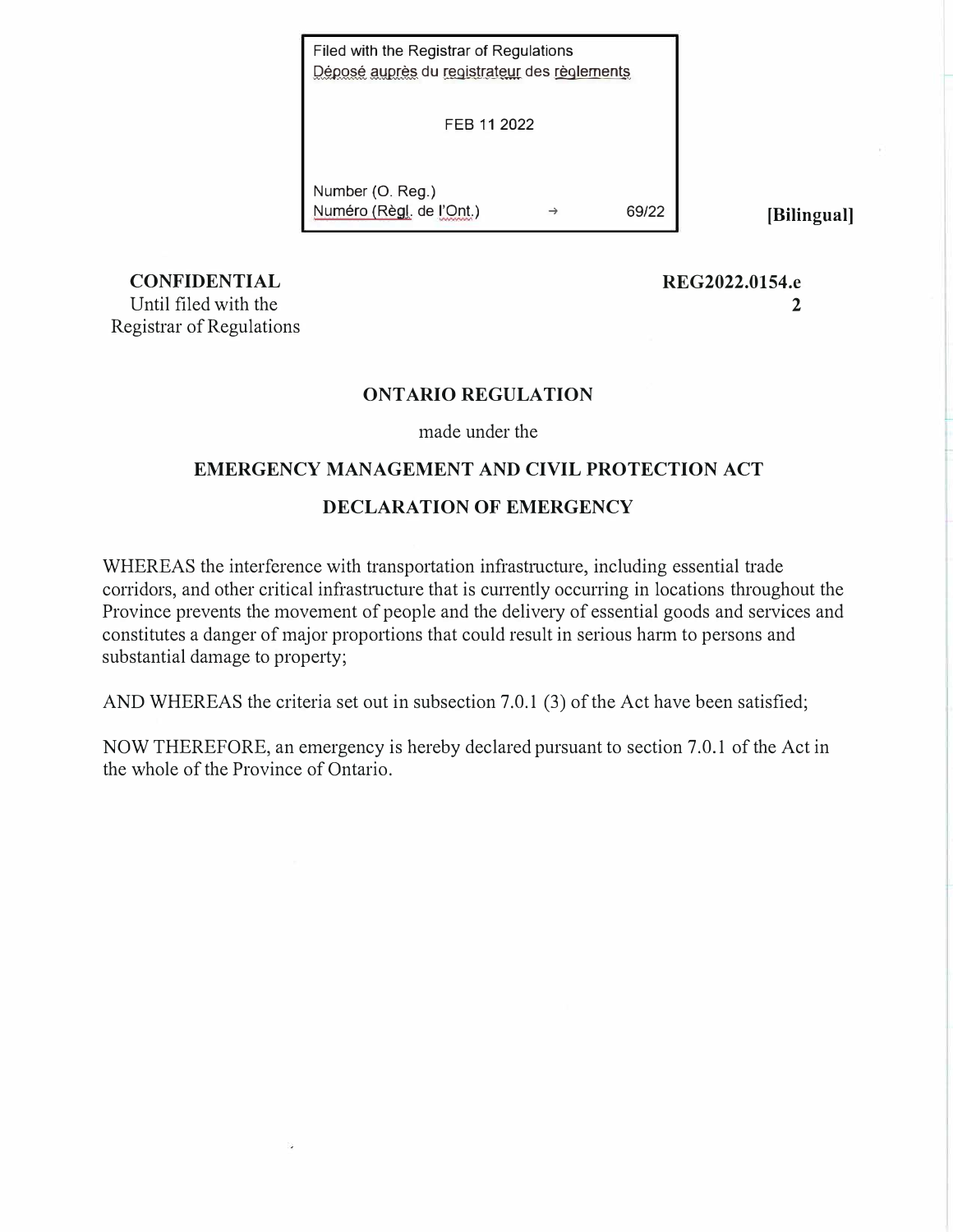Déposé auprès du registrateur des règlements Filed with the Registrar of Regulations

FEB 11 2022

Number (0. Reg.) Numero (Regl. de l'Ont.) ➔ 69/22 **[Bilingual]** 

**REG2022.0154.e** 

**2** 

**CONFIDENTIAL**  Until filed with the Registrar of Regulations

### **ONTARIO REGULATION**

made under the

### **EMERGENCY MANAGEMENT AND CIVIL PROTECTION ACT**

### **DECLARATION OF EMERGENCY**

WHEREAS the interference with transportation infrastructure, including essential trade corridors, and other critical infrastructure that is currently occurring in locations throughout the Province prevents the movement of people and the delivery of essential goods and services and constitutes a danger of major proportions that could result in serious harm to persons and substantial damage to property;

AND WHEREAS the criteria set out in subsection 7.0.1 (3) of the Act have been satisfied;

NOW THEREFORE, an emergency is hereby declared pursuant to section 7.0.1 of the Act in the whole of the Province of Ontario.